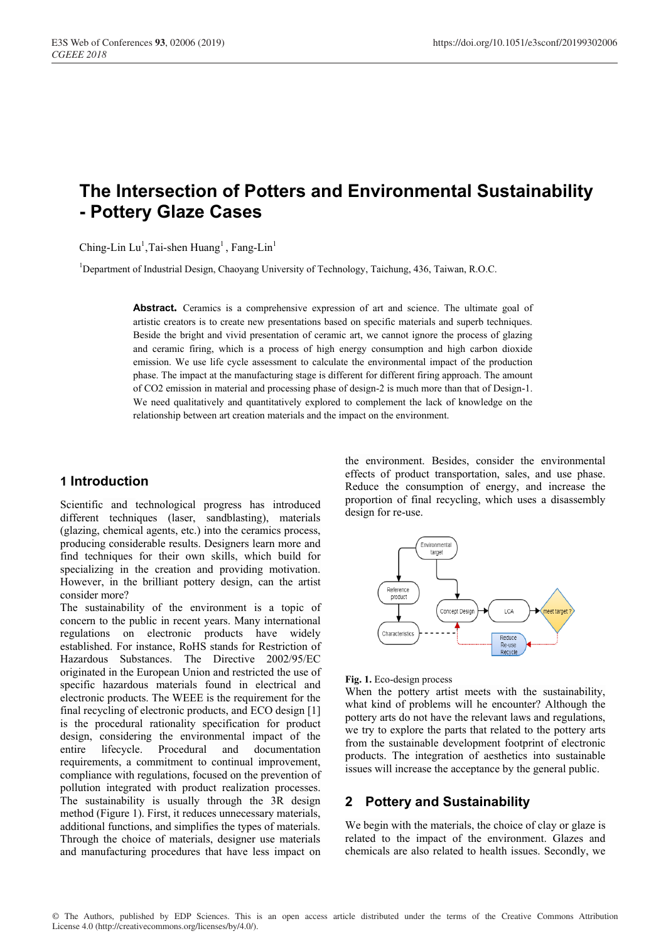# **The Intersection of Potters and Environmental Sustainability - Pottery Glaze Cases**

Ching-Lin  $Lu^1$ , Tai-shen Huang<sup>1</sup>, Fang-Lin<sup>1</sup>

<sup>1</sup>Department of Industrial Design, Chaoyang University of Technology, Taichung, 436, Taiwan, R.O.C.

**Abstract.** Ceramics is a comprehensive expression of art and science. The ultimate goal of artistic creators is to create new presentations based on specific materials and superb techniques. Beside the bright and vivid presentation of ceramic art, we cannot ignore the process of glazing and ceramic firing, which is a process of high energy consumption and high carbon dioxide emission. We use life cycle assessment to calculate the environmental impact of the production phase. The impact at the manufacturing stage is different for different firing approach. The amount of CO2 emission in material and processing phase of design-2 is much more than that of Design-1. We need qualitatively and quantitatively explored to complement the lack of knowledge on the relationship between art creation materials and the impact on the environment.

#### **1 Introduction**

Scientific and technological progress has introduced different techniques (laser, sandblasting), materials (glazing, chemical agents, etc.) into the ceramics process, producing considerable results. Designers learn more and find techniques for their own skills, which build for specializing in the creation and providing motivation. However, in the brilliant pottery design, can the artist consider more?

The sustainability of the environment is a topic of concern to the public in recent years. Many international regulations on electronic products have widely established. For instance, RoHS stands for Restriction of Hazardous Substances. The Directive 2002/95/EC originated in the European Union and restricted the use of specific hazardous materials found in electrical and electronic products. The WEEE is the requirement for the final recycling of electronic products, and ECO design [1] is the procedural rationality specification for product design, considering the environmental impact of the entire lifecycle. Procedural and documentation requirements, a commitment to continual improvement, compliance with regulations, focused on the prevention of pollution integrated with product realization processes. The sustainability is usually through the 3R design method (Figure 1). First, it reduces unnecessary materials, additional functions, and simplifies the types of materials. Through the choice of materials, designer use materials and manufacturing procedures that have less impact on

the environment. Besides, consider the environmental effects of product transportation, sales, and use phase. Reduce the consumption of energy, and increase the proportion of final recycling, which uses a disassembly design for re-use.



**Fig. 1.** Eco-design process

When the pottery artist meets with the sustainability, what kind of problems will he encounter? Although the pottery arts do not have the relevant laws and regulations, we try to explore the parts that related to the pottery arts from the sustainable development footprint of electronic products. The integration of aesthetics into sustainable issues will increase the acceptance by the general public.

## **2 Pottery and Sustainability**

We begin with the materials, the choice of clay or glaze is related to the impact of the environment. Glazes and chemicals are also related to health issues. Secondly, we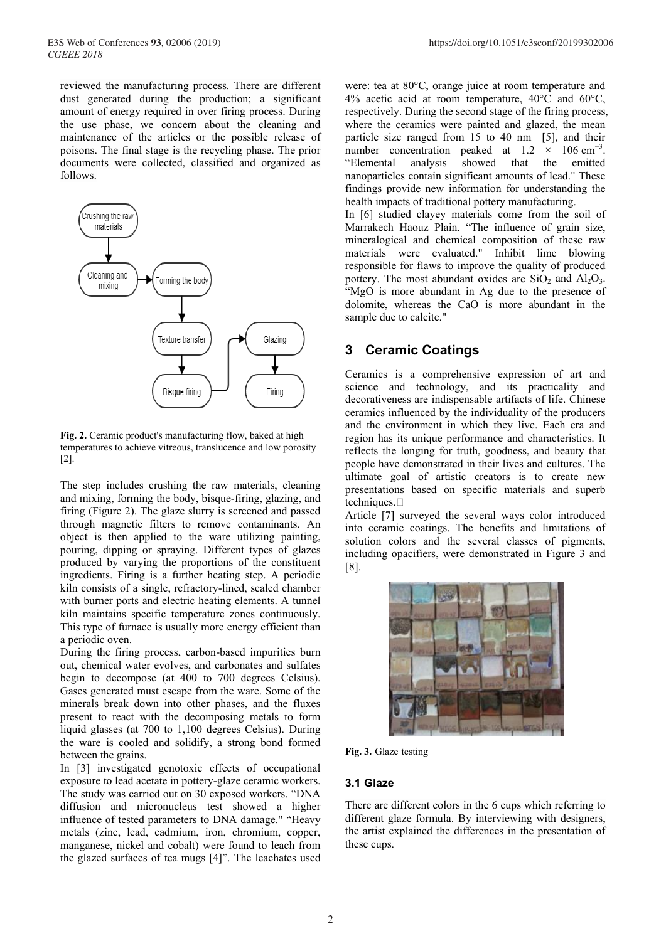reviewed the manufacturing process. There are different dust generated during the production; a significant amount of energy required in over firing process. During the use phase, we concern about the cleaning and maintenance of the articles or the possible release of poisons. The final stage is the recycling phase. The prior documents were collected, classified and organized as follows.



**Fig. 2.** Ceramic product's manufacturing flow, baked at high temperatures to achieve vitreous, translucence and low porosity [2].

The step includes crushing the raw materials, cleaning and mixing, forming the body, bisque-firing, glazing, and firing (Figure 2). The glaze slurry is screened and passed through magnetic filters to remove contaminants. An object is then applied to the ware utilizing painting, pouring, dipping or spraying. Different types of glazes produced by varying the proportions of the constituent ingredients. Firing is a further heating step. A periodic kiln consists of a single, refractory-lined, sealed chamber with burner ports and electric heating elements. A tunnel kiln maintains specific temperature zones continuously. This type of furnace is usually more energy efficient than a periodic oven.

During the firing process, carbon-based impurities burn out, chemical water evolves, and carbonates and sulfates begin to decompose (at 400 to 700 degrees Celsius). Gases generated must escape from the ware. Some of the minerals break down into other phases, and the fluxes present to react with the decomposing metals to form liquid glasses (at 700 to 1,100 degrees Celsius). During the ware is cooled and solidify, a strong bond formed between the grains.

In [3] investigated genotoxic effects of occupational exposure to lead acetate in pottery-glaze ceramic workers. The study was carried out on 30 exposed workers. "DNA diffusion and micronucleus test showed a higher influence of tested parameters to DNA damage." "Heavy metals (zinc, lead, cadmium, iron, chromium, copper, manganese, nickel and cobalt) were found to leach from the glazed surfaces of tea mugs [4]". The leachates used were: tea at 80°C, orange juice at room temperature and 4% acetic acid at room temperature, 40°C and 60°C, respectively. During the second stage of the firing process, where the ceramics were painted and glazed, the mean particle size ranged from 15 to 40 nm [5], and their number concentration peaked at  $1.2 \times 106$  cm<sup>-3</sup>. "Elemental analysis showed that the emitted nanoparticles contain significant amounts of lead." These findings provide new information for understanding the health impacts of traditional pottery manufacturing.

In [6] studied clayey materials come from the soil of Marrakech Haouz Plain. "The influence of grain size, mineralogical and chemical composition of these raw materials were evaluated." Inhibit lime blowing responsible for flaws to improve the quality of produced pottery. The most abundant oxides are  $SiO<sub>2</sub>$  and  $Al<sub>2</sub>O<sub>3</sub>$ . "MgO is more abundant in Ag due to the presence of dolomite, whereas the CaO is more abundant in the sample due to calcite."

## **3 Ceramic Coatings**

Ceramics is a comprehensive expression of art and science and technology, and its practicality and decorativeness are indispensable artifacts of life. Chinese ceramics influenced by the individuality of the producers and the environment in which they live. Each era and region has its unique performance and characteristics. It reflects the longing for truth, goodness, and beauty that people have demonstrated in their lives and cultures. The ultimate goal of artistic creators is to create new presentations based on specific materials and superb techniques.

Article [7] surveyed the several ways color introduced into ceramic coatings. The benefits and limitations of solution colors and the several classes of pigments, including opacifiers, were demonstrated in Figure 3 and [8].



**Fig. 3.** Glaze testing

#### **3.1 Glaze**

There are different colors in the 6 cups which referring to different glaze formula. By interviewing with designers, the artist explained the differences in the presentation of these cups.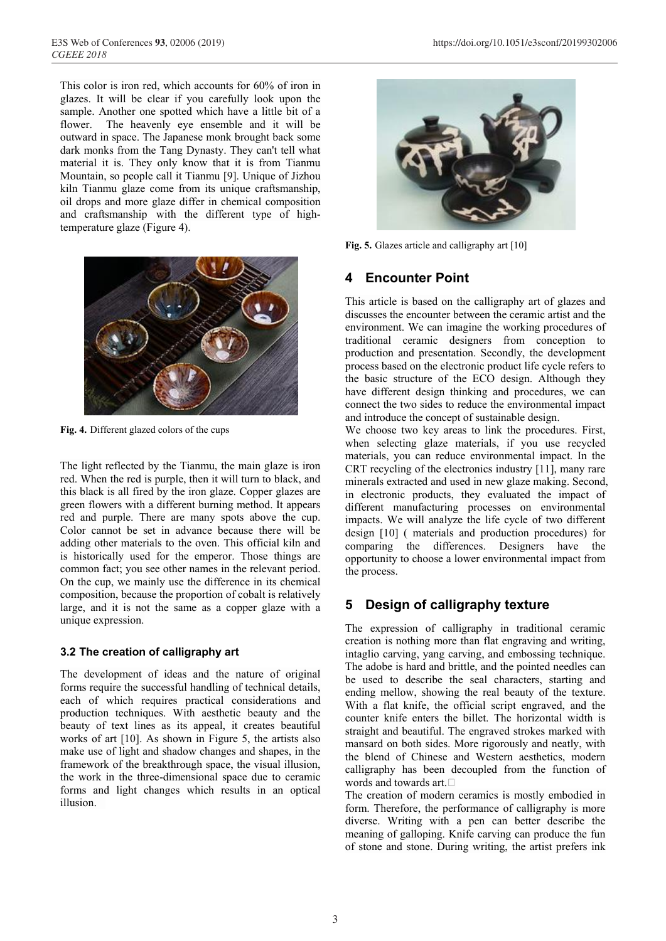This color is iron red, which accounts for 60% of iron in glazes. It will be clear if you carefully look upon the sample. Another one spotted which have a little bit of a flower. The heavenly eye ensemble and it will be outward in space. The Japanese monk brought back some dark monks from the Tang Dynasty. They can't tell what material it is. They only know that it is from Tianmu Mountain, so people call it Tianmu [9]. Unique of Jizhou kiln Tianmu glaze come from its unique craftsmanship, oil drops and more glaze differ in chemical composition and craftsmanship with the different type of hightemperature glaze (Figure 4).



**Fig. 4.** Different glazed colors of the cups

The light reflected by the Tianmu, the main glaze is iron red. When the red is purple, then it will turn to black, and this black is all fired by the iron glaze. Copper glazes are green flowers with a different burning method. It appears red and purple. There are many spots above the cup. Color cannot be set in advance because there will be adding other materials to the oven. This official kiln and is historically used for the emperor. Those things are common fact; you see other names in the relevant period. On the cup, we mainly use the difference in its chemical composition, because the proportion of cobalt is relatively large, and it is not the same as a copper glaze with a unique expression.

#### **3.2 The creation of calligraphy art**

The development of ideas and the nature of original forms require the successful handling of technical details, each of which requires practical considerations and production techniques. With aesthetic beauty and the beauty of text lines as its appeal, it creates beautiful works of art [10]. As shown in Figure 5, the artists also make use of light and shadow changes and shapes, in the framework of the breakthrough space, the visual illusion, the work in the three-dimensional space due to ceramic forms and light changes which results in an optical illusion.



**Fig. 5.** Glazes article and calligraphy art [10]

#### **4 Encounter Point**

This article is based on the calligraphy art of glazes and discusses the encounter between the ceramic artist and the environment. We can imagine the working procedures of traditional ceramic designers from conception to production and presentation. Secondly, the development process based on the electronic product life cycle refers to the basic structure of the ECO design. Although they have different design thinking and procedures, we can connect the two sides to reduce the environmental impact and introduce the concept of sustainable design.

We choose two key areas to link the procedures. First, when selecting glaze materials, if you use recycled materials, you can reduce environmental impact. In the CRT recycling of the electronics industry [11], many rare minerals extracted and used in new glaze making. Second, in electronic products, they evaluated the impact of different manufacturing processes on environmental impacts. We will analyze the life cycle of two different design [10] ( materials and production procedures) for comparing the differences. Designers have the opportunity to choose a lower environmental impact from the process.

## **5 Design of calligraphy texture**

The expression of calligraphy in traditional ceramic creation is nothing more than flat engraving and writing, intaglio carving, yang carving, and embossing technique. The adobe is hard and brittle, and the pointed needles can be used to describe the seal characters, starting and ending mellow, showing the real beauty of the texture. With a flat knife, the official script engraved, and the counter knife enters the billet. The horizontal width is straight and beautiful. The engraved strokes marked with mansard on both sides. More rigorously and neatly, with the blend of Chinese and Western aesthetics, modern calligraphy has been decoupled from the function of words and towards art. $\Box$ 

The creation of modern ceramics is mostly embodied in form. Therefore, the performance of calligraphy is more diverse. Writing with a pen can better describe the meaning of galloping. Knife carving can produce the fun of stone and stone. During writing, the artist prefers ink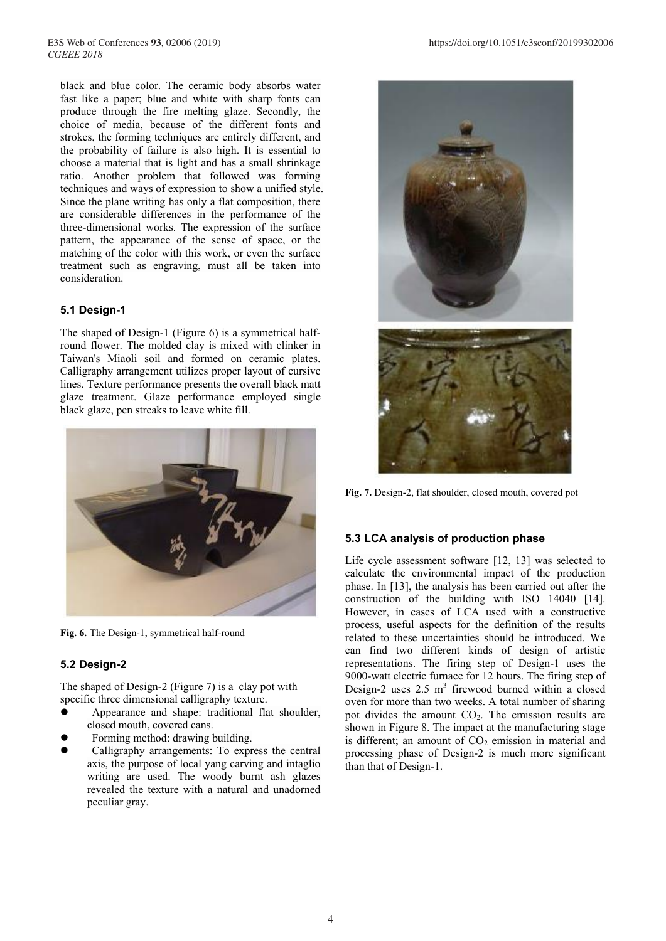black and blue color. The ceramic body absorbs water fast like a paper; blue and white with sharp fonts can produce through the fire melting glaze. Secondly, the choice of media, because of the different fonts and strokes, the forming techniques are entirely different, and the probability of failure is also high. It is essential to choose a material that is light and has a small shrinkage ratio. Another problem that followed was forming techniques and ways of expression to show a unified style. Since the plane writing has only a flat composition, there are considerable differences in the performance of the three-dimensional works. The expression of the surface pattern, the appearance of the sense of space, or the matching of the color with this work, or even the surface treatment such as engraving, must all be taken into consideration.

#### **5.1 Design-1**

The shaped of Design-1 (Figure 6) is a symmetrical halfround flower. The molded clay is mixed with clinker in Taiwan's Miaoli soil and formed on ceramic plates. Calligraphy arrangement utilizes proper layout of cursive lines. Texture performance presents the overall black matt glaze treatment. Glaze performance employed single black glaze, pen streaks to leave white fill.



**Fig. 6.** The Design-1, symmetrical half-round

#### **5.2 Design-2**

The shaped of Design-2 (Figure 7) is a clay pot with specific three dimensional calligraphy texture.

- Appearance and shape: traditional flat shoulder, closed mouth, covered cans.
- Forming method: drawing building.
- Calligraphy arrangements: To express the central axis, the purpose of local yang carving and intaglio writing are used. The woody burnt ash glazes revealed the texture with a natural and unadorned peculiar gray.



**Fig. 7.** Design-2, flat shoulder, closed mouth, covered pot

#### **5.3 LCA analysis of production phase**

Life cycle assessment software [12, 13] was selected to calculate the environmental impact of the production phase. In [13], the analysis has been carried out after the construction of the building with ISO 14040 [14]. However, in cases of LCA used with a constructive process, useful aspects for the definition of the results related to these uncertainties should be introduced. We can find two different kinds of design of artistic representations. The firing step of Design-1 uses the 9000-watt electric furnace for 12 hours. The firing step of Design-2 uses  $2.5 \text{ m}^3$  firewood burned within a closed oven for more than two weeks. A total number of sharing pot divides the amount  $CO<sub>2</sub>$ . The emission results are shown in Figure 8. The impact at the manufacturing stage is different; an amount of  $CO<sub>2</sub>$  emission in material and processing phase of Design-2 is much more significant than that of Design-1.